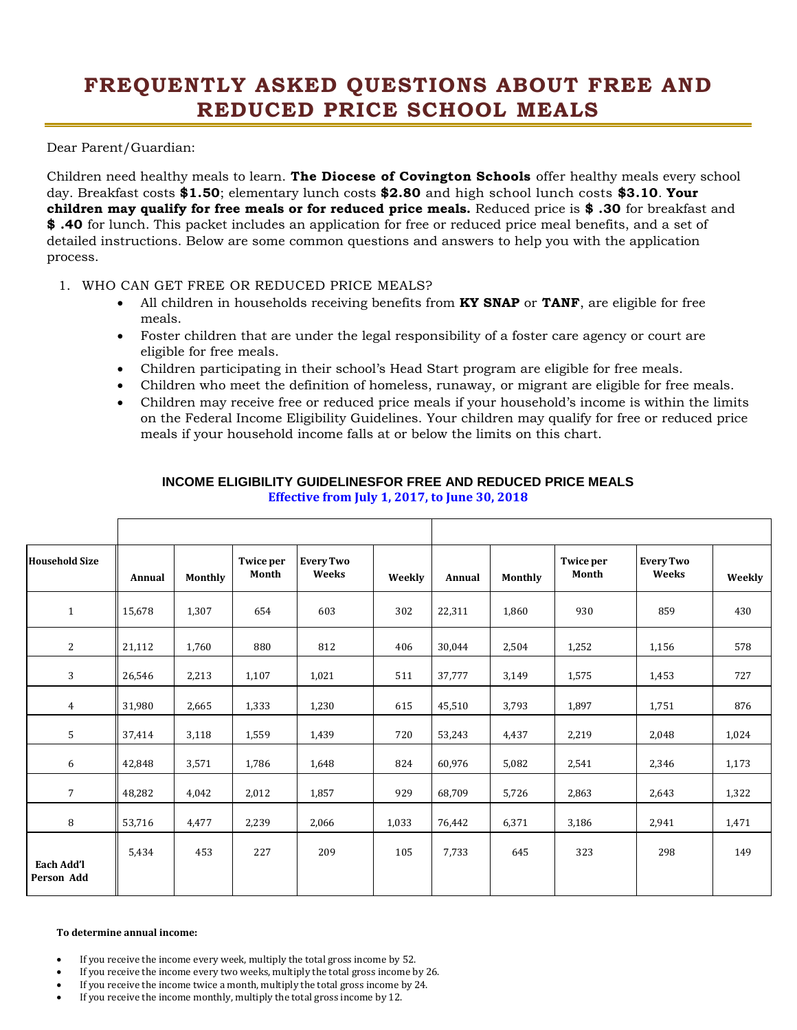## **FREQUENTLY ASKED QUESTIONS ABOUT FREE AND REDUCED PRICE SCHOOL MEALS**

Dear Parent/Guardian:

Children need healthy meals to learn. **The Diocese of Covington Schools** offer healthy meals every school day. Breakfast costs **\$1.50**; elementary lunch costs **\$2.80** and high school lunch costs **\$3.10**. **Your children may qualify for free meals or for reduced price meals.** Reduced price is **\$ .30** for breakfast and **\$ .40** for lunch. This packet includes an application for free or reduced price meal benefits, and a set of detailed instructions. Below are some common questions and answers to help you with the application process.

- 1. WHO CAN GET FREE OR REDUCED PRICE MEALS?
	- All children in households receiving benefits from **KY SNAP** or **TANF**, are eligible for free meals.
	- Foster children that are under the legal responsibility of a foster care agency or court are eligible for free meals.
	- Children participating in their school's Head Start program are eligible for free meals.
	- Children who meet the definition of homeless, runaway, or migrant are eligible for free meals.
	- Children may receive free or reduced price meals if your household's income is within the limits on the Federal Income Eligibility Guidelines. Your children may qualify for free or reduced price meals if your household income falls at or below the limits on this chart.

| <b>Household Size</b>           | Annual | Monthly | Twice per<br>Month | <b>Every Two</b><br>Weeks | Weekly | Annual | Monthly | <b>Twice per</b><br>Month | <b>Every Two</b><br>Weeks | Weekly |
|---------------------------------|--------|---------|--------------------|---------------------------|--------|--------|---------|---------------------------|---------------------------|--------|
| $\mathbf{1}$                    | 15,678 | 1,307   | 654                | 603                       | 302    | 22,311 | 1,860   | 930                       | 859                       | 430    |
| 2                               | 21,112 | 1,760   | 880                | 812                       | 406    | 30,044 | 2,504   | 1,252                     | 1,156                     | 578    |
| 3                               | 26,546 | 2,213   | 1,107              | 1,021                     | 511    | 37,777 | 3,149   | 1,575                     | 1,453                     | 727    |
| $\overline{4}$                  | 31,980 | 2,665   | 1,333              | 1,230                     | 615    | 45,510 | 3,793   | 1,897                     | 1,751                     | 876    |
| 5                               | 37,414 | 3,118   | 1,559              | 1,439                     | 720    | 53,243 | 4,437   | 2,219                     | 2,048                     | 1,024  |
| 6                               | 42,848 | 3,571   | 1,786              | 1,648                     | 824    | 60,976 | 5,082   | 2,541                     | 2,346                     | 1,173  |
| $\overline{7}$                  | 48,282 | 4,042   | 2,012              | 1,857                     | 929    | 68,709 | 5,726   | 2,863                     | 2,643                     | 1,322  |
| 8                               | 53,716 | 4,477   | 2,239              | 2,066                     | 1,033  | 76,442 | 6,371   | 3,186                     | 2,941                     | 1,471  |
| <b>Each Add'l</b><br>Person Add | 5,434  | 453     | 227                | 209                       | 105    | 7,733  | 645     | 323                       | 298                       | 149    |

## **INCOME ELIGIBILITY GUIDELINESFOR FREE AND REDUCED PRICE MEALS Effective from July 1, 2017, to June 30, 2018**

## **To determine annual income:**

- If you receive the income every week, multiply the total gross income by 52.
- If you receive the income every two weeks, multiply the total gross income by 26.
- If you receive the income twice a month, multiply the total gross income by 24.
- If you receive the income monthly, multiply the total gross income by 12.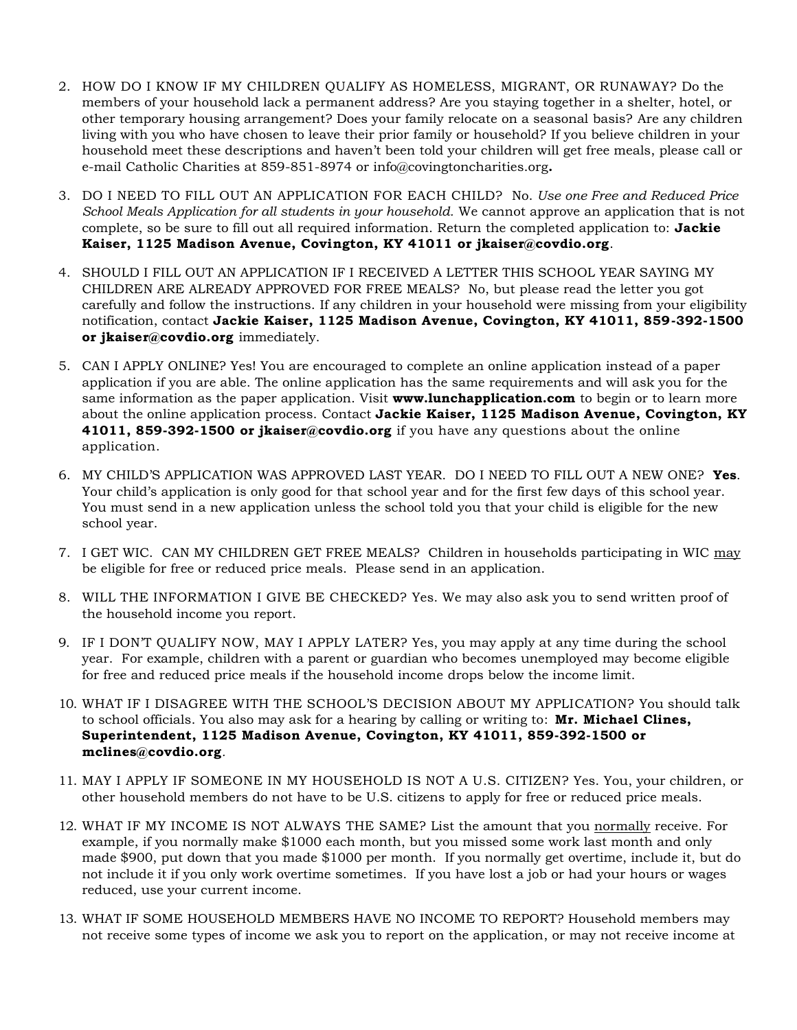- 2. HOW DO I KNOW IF MY CHILDREN QUALIFY AS HOMELESS, MIGRANT, OR RUNAWAY? Do the members of your household lack a permanent address? Are you staying together in a shelter, hotel, or other temporary housing arrangement? Does your family relocate on a seasonal basis? Are any children living with you who have chosen to leave their prior family or household? If you believe children in your household meet these descriptions and haven't been told your children will get free meals, please call or e-mail Catholic Charities at 859-851-8974 or info@covingtoncharities.org**.**
- 3. DO I NEED TO FILL OUT AN APPLICATION FOR EACH CHILD? No. *Use one Free and Reduced Price School Meals Application for all students in your household.* We cannot approve an application that is not complete, so be sure to fill out all required information. Return the completed application to: **Jackie Kaiser, 1125 Madison Avenue, Covington, KY 41011 or jkaiser@covdio.org**.
- 4. SHOULD I FILL OUT AN APPLICATION IF I RECEIVED A LETTER THIS SCHOOL YEAR SAYING MY CHILDREN ARE ALREADY APPROVED FOR FREE MEALS? No, but please read the letter you got carefully and follow the instructions. If any children in your household were missing from your eligibility notification, contact **Jackie Kaiser, 1125 Madison Avenue, Covington, KY 41011, 859-392-1500 or jkaiser@covdio.org** immediately.
- 5. CAN I APPLY ONLINE? Yes! You are encouraged to complete an online application instead of a paper application if you are able. The online application has the same requirements and will ask you for the same information as the paper application. Visit **www.lunchapplication.com** to begin or to learn more about the online application process. Contact **Jackie Kaiser, 1125 Madison Avenue, Covington, KY 41011, 859-392-1500 or jkaiser@covdio.org** if you have any questions about the online application.
- 6. MY CHILD'S APPLICATION WAS APPROVED LAST YEAR. DO I NEED TO FILL OUT A NEW ONE? **Yes**. Your child's application is only good for that school year and for the first few days of this school year. You must send in a new application unless the school told you that your child is eligible for the new school year.
- 7. I GET WIC. CAN MY CHILDREN GET FREE MEALS? Children in households participating in WIC may be eligible for free or reduced price meals. Please send in an application.
- 8. WILL THE INFORMATION I GIVE BE CHECKED? Yes. We may also ask you to send written proof of the household income you report.
- 9. IF I DON'T QUALIFY NOW, MAY I APPLY LATER? Yes, you may apply at any time during the school year. For example, children with a parent or guardian who becomes unemployed may become eligible for free and reduced price meals if the household income drops below the income limit.
- 10. WHAT IF I DISAGREE WITH THE SCHOOL'S DECISION ABOUT MY APPLICATION? You should talk to school officials. You also may ask for a hearing by calling or writing to: **Mr. Michael Clines, Superintendent, 1125 Madison Avenue, Covington, KY 41011, 859-392-1500 or mclines@covdio.org***.*
- 11. MAY I APPLY IF SOMEONE IN MY HOUSEHOLD IS NOT A U.S. CITIZEN? Yes. You, your children, or other household members do not have to be U.S. citizens to apply for free or reduced price meals.
- 12. WHAT IF MY INCOME IS NOT ALWAYS THE SAME? List the amount that you normally receive. For example, if you normally make \$1000 each month, but you missed some work last month and only made \$900, put down that you made \$1000 per month. If you normally get overtime, include it, but do not include it if you only work overtime sometimes. If you have lost a job or had your hours or wages reduced, use your current income.
- 13. WHAT IF SOME HOUSEHOLD MEMBERS HAVE NO INCOME TO REPORT? Household members may not receive some types of income we ask you to report on the application, or may not receive income at